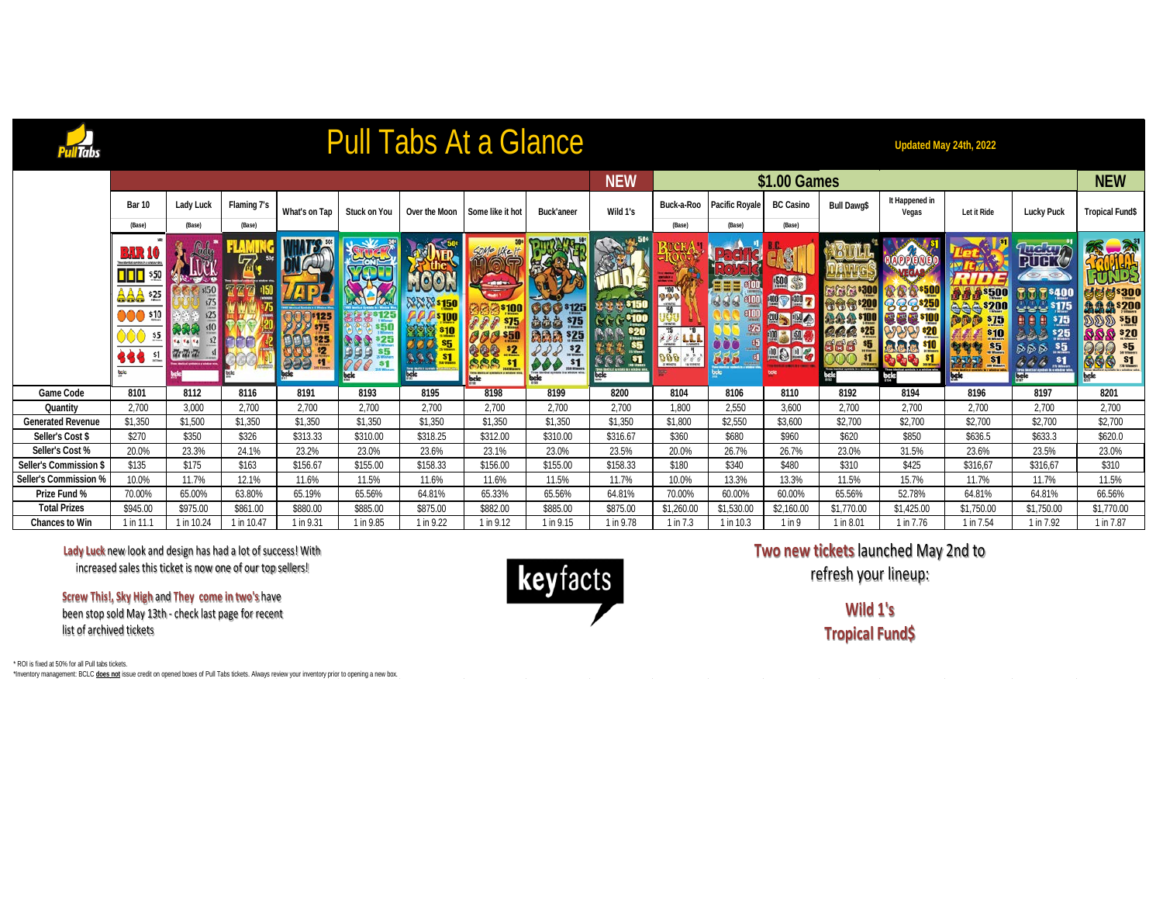## Pull Tabs At a Glance

**Updated May 24th, 2022**

|                          |                                                                                                                                                                  |                                    |                    |               |                     |                                        |                                                                    |                                                                                             | <b>NEW</b>                          | \$1.00 Games          |                       |                                                       |                       |                                 |                                                                                                                          |                                                                                                                          |                                                                                   |  |
|--------------------------|------------------------------------------------------------------------------------------------------------------------------------------------------------------|------------------------------------|--------------------|---------------|---------------------|----------------------------------------|--------------------------------------------------------------------|---------------------------------------------------------------------------------------------|-------------------------------------|-----------------------|-----------------------|-------------------------------------------------------|-----------------------|---------------------------------|--------------------------------------------------------------------------------------------------------------------------|--------------------------------------------------------------------------------------------------------------------------|-----------------------------------------------------------------------------------|--|
|                          | <b>Bar 10</b>                                                                                                                                                    | Lady Luck                          | <b>Flaming 7's</b> | What's on Tap | <b>Stuck on You</b> | Over the Moon                          | Some like it hot                                                   | <b>Buck'aneer</b>                                                                           | Wild 1's                            | Buck-a-Roo            | <b>Pacific Royale</b> | <b>BC Casino</b>                                      | <b>Bull Dawg\$</b>    | It Happened in<br>Vegas         | Let it Ride                                                                                                              | <b>Lucky Puck</b>                                                                                                        | <b>Tropical Fund\$</b>                                                            |  |
|                          | (Base)                                                                                                                                                           | (Base)                             | (Base)             |               |                     |                                        |                                                                    |                                                                                             |                                     | (Base)                | (Base)                | (Base)                                                |                       |                                 |                                                                                                                          |                                                                                                                          |                                                                                   |  |
|                          | <b>BAR 1</b><br>widerlick synbox his waterville<br>DDD<br>550<br><b>AAA 525</b><br><b>DOO</b><br>510<br>$\frac{55}{100}$<br><b>388</b><br>$\frac{51}{2}$<br>bele | s150<br>s75<br>s25<br><b>ZrZrZ</b> |                    | \$125<br>899  | bele                | <b>NXX \$150</b><br><b>Delettoring</b> | $\frac{5}{2}$<br>Three Mentical aparture is a science wine<br>bele | <b>900 s125</b><br>$\underline{5}$<br>\$25<br>$s_{2}$<br>\$1<br>da la a winduw wing<br>bale | $rac{20}{55}$<br>$555 - 51$<br>bele | <b>DAV</b><br>000 559 | e <sub>ZF</sub>       | 四等<br><b>APA7</b><br><b>JOD 5 1500</b><br><b>DODG</b> | 666.20<br>\$H<br>bele | <b>SOLD a vinter of</b><br>pele | <b>\$500</b><br><b>\$200</b><br>\$15<br><u>\$10</u><br>.55<br>s <sub>1</sub><br><b>PARA</b><br><b>SER WARREN</b><br>bele | <u> फरीमा</u><br><b>PUBY</b><br><b>CID</b><br><mark>\$175 پ پ</mark><br>\$75<br>\$25<br>55<br>$s_{1}$<br>do do do<br>DEE | 녕6, \$300<br><b>為急急*200</b><br>\$50<br>$\mathbf{S}$ \$20<br>\$5<br>666 st<br>bele |  |
| <b>Game Code</b>         | 8101                                                                                                                                                             | 8112                               | 8116               | 8191          | 8193                | 8195                                   | 8198                                                               | 8199                                                                                        | 8200                                | 8104                  | 8106                  | 8110                                                  | 8192                  | 8194                            | 8196                                                                                                                     | 8197                                                                                                                     | 8201                                                                              |  |
| Quantity                 | 2,700                                                                                                                                                            | 3,000                              | 2,700              | 2,700         | 2,700               | 2,700                                  | 2,700                                                              | 2,700                                                                                       | 2,700                               | 1,800                 | 2,550                 | 3,600                                                 | 2,700                 | 2,700                           | 2,700                                                                                                                    | 2,700                                                                                                                    | 2,700                                                                             |  |
| <b>Generated Revenue</b> | \$1,350                                                                                                                                                          | \$1,500                            | \$1,350            | \$1,350       | \$1,350             | \$1,350                                | \$1,350                                                            | \$1,350                                                                                     | \$1,350                             | \$1,800               | \$2,550               | \$3,600                                               | \$2,700               | \$2,700                         | \$2,700                                                                                                                  | \$2,700                                                                                                                  | \$2,700                                                                           |  |
| Seller's Cost \$         | \$270                                                                                                                                                            | \$350                              | \$326              | \$313.33      | \$310.00            | \$318.25                               | \$312.00                                                           | \$310.00                                                                                    | \$316.67                            | \$360                 | \$680                 | \$960                                                 | \$620                 | \$850                           | \$636.5                                                                                                                  | \$633.3                                                                                                                  | \$620.0                                                                           |  |
| Seller's Cost %          | 20.0%                                                                                                                                                            | 23.3%                              | 24.1%              | 23.2%         | 23.0%               | 23.6%                                  | 23.1%                                                              | 23.0%                                                                                       | 23.5%                               | 20.0%                 | 26.7%                 | 26.7%                                                 | 23.0%                 | 31.5%                           | 23.6%                                                                                                                    | 23.5%                                                                                                                    | 23.0%                                                                             |  |
| Seller's Commission \$   | \$135                                                                                                                                                            | \$175                              | \$163              | \$156.67      | \$155.00            | \$158.33                               | \$156.00                                                           | \$155.00                                                                                    | \$158.33                            | \$180                 | \$340                 | \$480                                                 | \$310                 | \$425                           | \$316,67                                                                                                                 | \$316,67                                                                                                                 | \$310                                                                             |  |
| Seller's Commission %    | 10.0%                                                                                                                                                            | 11.7%                              | 12.1%              | 11.6%         | 11.5%               | 11.6%                                  | 11.6%                                                              | 11.5%                                                                                       | 11.7%                               | 10.0%                 | 13.3%                 | 13.3%                                                 | 11.5%                 | 15.7%                           | 11.7%                                                                                                                    | 11.7%                                                                                                                    | 11.5%                                                                             |  |
| Prize Fund %             | 70.00%                                                                                                                                                           | 65.00%                             | 63.80%             | 65.19%        | 65.56%              | 64.81%                                 | 65.33%                                                             | 65.56%                                                                                      | 64.81%                              | 70.00%                | 60.00%                | 60.00%                                                | 65.56%                | 52.78%                          | 64.81%                                                                                                                   | 64.81%                                                                                                                   | 66.56%                                                                            |  |
| <b>Total Prizes</b>      | \$945.00                                                                                                                                                         | \$975.00                           | \$861.00           | \$880.00      | \$885.00            | \$875.00                               | \$882.00                                                           | \$885.00                                                                                    | \$875.00                            | \$1,260.00            | \$1,530.00            | \$2,160.00                                            | \$1,770.00            | \$1,425.00                      | \$1,750.00                                                                                                               | \$1,750.00                                                                                                               | \$1,770.00                                                                        |  |
| <b>Chances to Win</b>    | $1$ in 11.                                                                                                                                                       | 1 in 10.24                         | 1 in 10.47         | 1 in 9.31     | 1 in 9.85           | 1 in 9.22                              | 1 in 9.12                                                          | 1 in 9.15                                                                                   | 1 in 9.78                           | 1 in 7.3              | 1 in 10.3             | 1 in 9                                                | 1 in 8.01             | 1 in 7.76                       | 1 in 7.54                                                                                                                | 1 in 7.92                                                                                                                | 1 in 7.87                                                                         |  |

**Lady Luck** new look and design has had a lot of success! With increased sales this ticket is now one of our top sellers!

**Screw This!, Sky High** and **They come in two's** have been stop sold May 13th - check last page for recent list of archived tickets



**Two new tickets** launched May 2nd to

refresh your lineup:

**Wild 1's Tropical Fund\$**

\* ROI is fixed at 50% for all Pull tabs tickets.

\*Inventory management: BCLC **does not** issue credit on opened boxes of Pull Tabs tickets. Always review your inventory prior to opening a new box.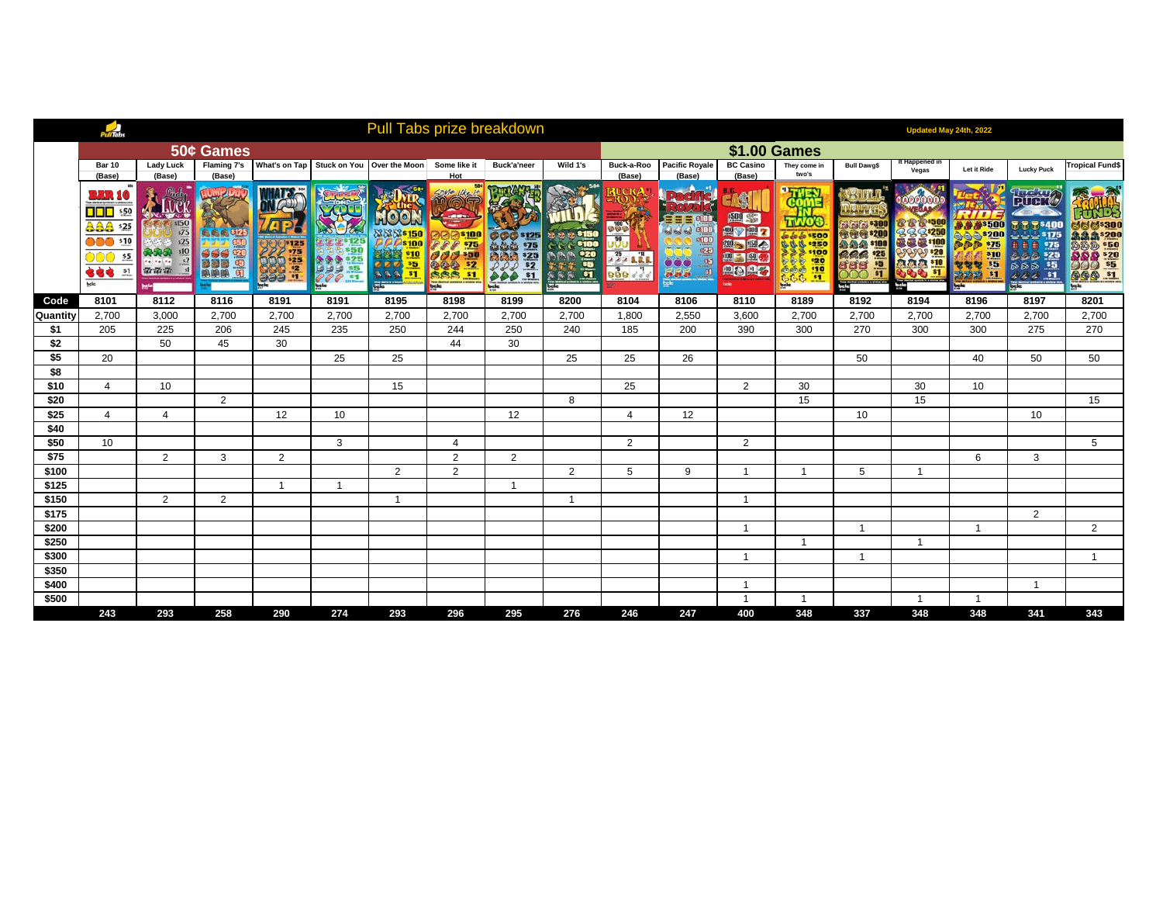|                | PullTabs                                                                                                        |                                   |                              |                                     |                |                                              |                              | Pull Tabs prize breakdown                                                |                             | Updated May 24th, 2022 |                                 |                                           |                                                 |                   |                         |                |                                              |                                           |
|----------------|-----------------------------------------------------------------------------------------------------------------|-----------------------------------|------------------------------|-------------------------------------|----------------|----------------------------------------------|------------------------------|--------------------------------------------------------------------------|-----------------------------|------------------------|---------------------------------|-------------------------------------------|-------------------------------------------------|-------------------|-------------------------|----------------|----------------------------------------------|-------------------------------------------|
|                |                                                                                                                 |                                   | 50¢ Games                    |                                     |                |                                              |                              |                                                                          |                             |                        |                                 |                                           | <b>\$1.00 Games</b>                             |                   |                         |                |                                              |                                           |
|                | <b>Bar 10</b><br>(Base)                                                                                         | <b>Lady Luck</b><br>(Base)        | <b>Flaming 7's</b><br>(Base) |                                     |                | What's on Tap   Stuck on You   Over the Moon | Some like it<br>Hot          | Buck'a'neer                                                              | Wild 1's                    | Buck-a-Roo<br>(Base)   | <b>Pacific Royale</b><br>(Base) | <b>BC Casino</b><br>(Base)                | They come in<br>two's                           | Bull Dawg\$       | It Happened in<br>Vegas | Let it Ride    | <b>Lucky Puck</b>                            | <b>Tropical Fund\$</b>                    |
|                | BRR 10<br>$\frac{$50}{2}$<br>525<br>AAA<br>510<br>000<br>$\frac{15}{2}$<br>444<br>51<br>$\overline{\mathbf{w}}$ | <b>sI50</b><br>s25<br>The The The | 高高高可以<br>盟盟                  | $2^{125}$<br>$\frac{25}{12}$<br>999 | s <sub>1</sub> | $rac{s_{5}}{s_{1}}$<br>٠                     | $rac{s_2}{s_1}$<br><b>CB</b> | s <u>125</u><br>$\frac{$15}{25}$<br>$\frac{$25}{25}$<br>$\frac{$25}{21}$ | 0<<br>$\frac{1}{3}$<br>bala | $\delta\phi$           | an an an                        | 500 95<br>▽鯉り<br><b>&gt; 1194</b><br>血固血石 | 0000 500<br>333100<br>120<br>6666110<br>6666110 | \$25<br>б<br>bele | <b>\$20</b><br>м        | \$5<br>81      | <b>RITH Y</b><br>\$25<br>\$5<br>西西西<br>66651 | \$50<br>$8\frac{20}{5}$<br><b>GGG \$1</b> |
| Code           | 8101                                                                                                            | 8112                              | 8116                         | 8191                                | 8191           | 8195                                         | 8198                         | 8199                                                                     | 8200                        | 8104                   | 8106                            | 8110                                      | 8189                                            | 8192              | 8194                    | 8196           | 8197                                         | 8201                                      |
| Quantity       | 2,700                                                                                                           | 3,000                             | 2,700                        | 2,700                               | 2,700          | 2,700                                        | 2,700                        | 2,700                                                                    | 2,700                       | 1,800                  | 2,550                           | 3,600                                     | 2,700                                           | 2,700             | 2,700                   | 2,700          | 2,700                                        | 2,700                                     |
| \$1            | 205                                                                                                             | 225                               | 206                          | 245                                 | 235            | 250                                          | 244                          | 250                                                                      | 240                         | 185                    | 200                             | 390                                       | 300                                             | 270               | 300                     | 300            | 275                                          | 270                                       |
| \$2            |                                                                                                                 | 50                                | 45                           | 30                                  |                |                                              | 44                           | 30                                                                       |                             |                        |                                 |                                           |                                                 |                   |                         |                |                                              |                                           |
| \$5            | 20                                                                                                              |                                   |                              |                                     | 25             | 25                                           |                              |                                                                          | 25                          | 25                     | 26                              |                                           |                                                 | 50                |                         | 40             | 50                                           | 50                                        |
| \$8            |                                                                                                                 |                                   |                              |                                     |                |                                              |                              |                                                                          |                             |                        |                                 |                                           |                                                 |                   |                         |                |                                              |                                           |
| \$10           | $\overline{4}$                                                                                                  | 10                                |                              |                                     |                | 15                                           |                              |                                                                          |                             | 25                     |                                 | $\overline{2}$                            | 30                                              |                   | 30                      | 10             |                                              |                                           |
| \$20           |                                                                                                                 |                                   | 2                            |                                     |                |                                              |                              |                                                                          | 8                           |                        |                                 |                                           | 15                                              |                   | 15                      |                |                                              | 15                                        |
| \$25           | $\overline{4}$                                                                                                  | $\overline{4}$                    |                              | 12                                  | 10             |                                              |                              | 12                                                                       |                             | $\overline{4}$         | 12                              |                                           |                                                 | 10                |                         |                | 10                                           |                                           |
| \$40<br>\$50   |                                                                                                                 |                                   |                              |                                     |                |                                              |                              |                                                                          |                             |                        |                                 |                                           |                                                 |                   |                         |                |                                              |                                           |
| \$75           | 10 <sup>1</sup>                                                                                                 | $\overline{2}$                    |                              |                                     | 3              |                                              | 4<br>$\overline{2}$          |                                                                          |                             | 2                      |                                 | $\overline{2}$                            |                                                 |                   |                         |                |                                              | 5                                         |
|                |                                                                                                                 |                                   | 3                            | $\overline{2}$                      |                | $\overline{2}$                               | $\overline{2}$               | $\overline{2}$                                                           | $\overline{2}$              | 5                      | 9                               | $\overline{1}$                            | $\overline{1}$                                  | 5                 | $\mathbf{1}$            | 6              | 3                                            |                                           |
| \$100<br>\$125 |                                                                                                                 |                                   |                              | $\overline{1}$                      | $\mathbf{1}$   |                                              |                              | $\overline{1}$                                                           |                             |                        |                                 |                                           |                                                 |                   |                         |                |                                              |                                           |
| \$150          |                                                                                                                 | $\overline{2}$                    | $\overline{2}$               |                                     |                | $\mathbf{1}$                                 |                              |                                                                          |                             |                        |                                 | $\overline{1}$                            |                                                 |                   |                         |                |                                              |                                           |
| \$175          |                                                                                                                 |                                   |                              |                                     |                |                                              |                              |                                                                          |                             |                        |                                 |                                           |                                                 |                   |                         |                | $\overline{2}$                               |                                           |
| \$200          |                                                                                                                 |                                   |                              |                                     |                |                                              |                              |                                                                          |                             |                        |                                 | $\overline{1}$                            |                                                 | -1                |                         | -1             |                                              | $\overline{2}$                            |
| \$250          |                                                                                                                 |                                   |                              |                                     |                |                                              |                              |                                                                          |                             |                        |                                 |                                           | $\mathbf{1}$                                    |                   | $\mathbf{1}$            |                |                                              |                                           |
| \$300          |                                                                                                                 |                                   |                              |                                     |                |                                              |                              |                                                                          |                             |                        |                                 | $\overline{1}$                            |                                                 | -1                |                         |                |                                              |                                           |
| \$350          |                                                                                                                 |                                   |                              |                                     |                |                                              |                              |                                                                          |                             |                        |                                 |                                           |                                                 |                   |                         |                |                                              |                                           |
| \$400          |                                                                                                                 |                                   |                              |                                     |                |                                              |                              |                                                                          |                             |                        |                                 | -1                                        |                                                 |                   |                         |                | -1                                           |                                           |
| \$500          |                                                                                                                 |                                   |                              |                                     |                |                                              |                              |                                                                          |                             |                        |                                 |                                           | $\overline{1}$                                  |                   | $\overline{1}$          | $\overline{1}$ |                                              |                                           |
|                | 243                                                                                                             | 293                               | 258                          | 290                                 | 274            | 293                                          | 296                          | 295                                                                      | 276                         | 246                    | 247                             | 400                                       | 348                                             | 337               | 348                     | 348            | 341                                          | 343                                       |